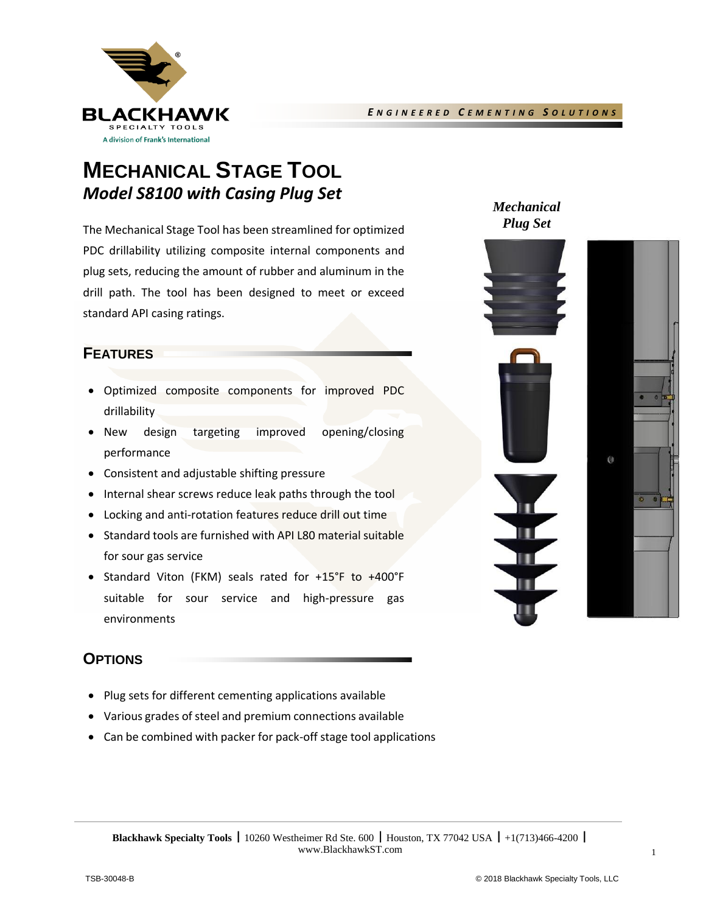

## **MECHANICAL STAGE TOOL** *Model S8100 with Casing Plug Set*

The Mechanical Stage Tool has been streamlined for optimized PDC drillability utilizing composite internal components and plug sets, reducing the amount of rubber and aluminum in the drill path. The tool has been designed to meet or exceed standard API casing ratings.

#### **FEATURES**

- Optimized composite components for improved PDC drillability
- New design targeting improved opening/closing performance
- Consistent and adjustable shifting pressure
- Internal shear screws reduce leak paths through the tool
- Locking and anti-rotation features reduce drill out time
- Standard tools are furnished with API L80 material suitable for sour gas service
- Standard Viton (FKM) seals rated for +15°F to +400°F suitable for sour service and high-pressure gas environments

*Mechanical Plug Set*





## **OPTIONS**

- Plug sets for different cementing applications available
- Various grades of steel and premium connections available
- Can be combined with packer for pack-off stage tool applications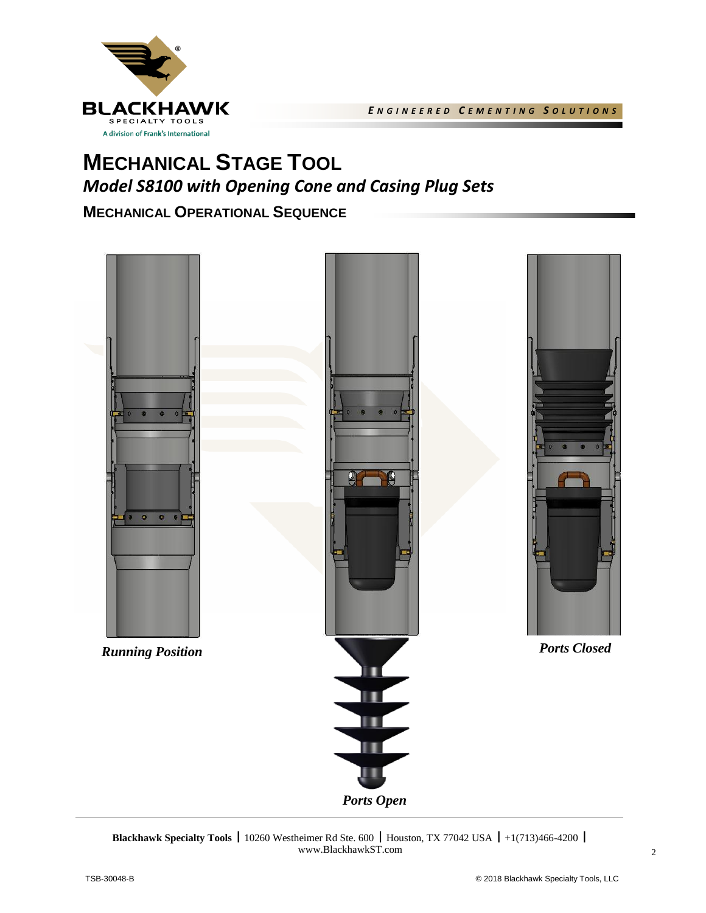

# **MECHANICAL STAGE TOOL**  *Model S8100 with Opening Cone and Casing Plug Sets*

## **MECHANICAL OPERATIONAL SEQUENCE**



**Blackhawk Specialty Tools | 10260 Westheimer Rd Ste. 600 | Houston, TX 77042 USA | +1(713)466-4200 |** www.BlackhawkST.com